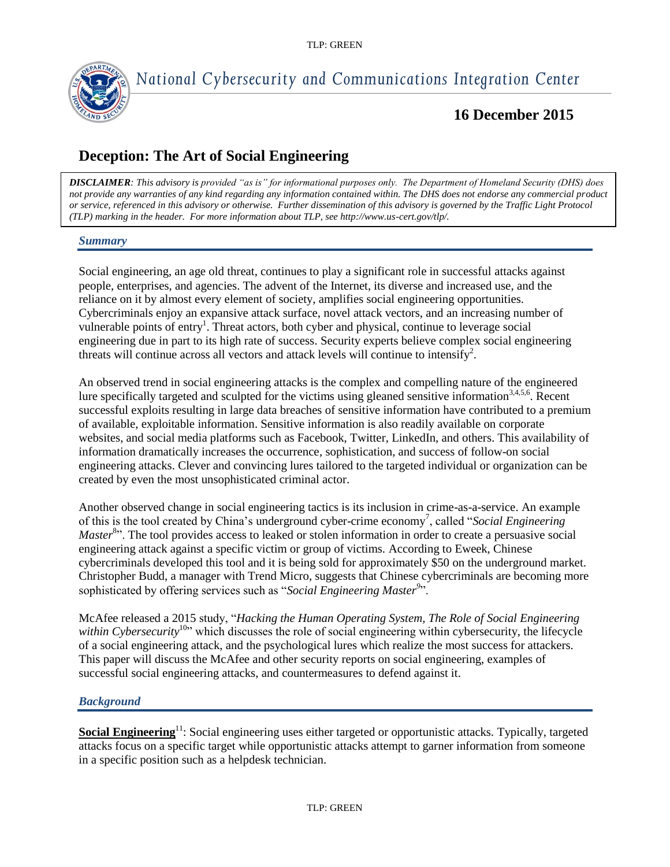

# *National Cybersecurity and Communications Integration Center*

# **16 December 2015**

# **Deception: The Art of Social Engineering**

*DISCLAIMER: This advisory is provided "as is" for informational purposes only. The Department of Homeland Security (DHS) does not provide any warranties of any kind regarding any information contained within. The DHS does not endorse any commercial product or service, referenced in this advisory or otherwise. Further dissemination of this advisory is governed by the Traffic Light Protocol (TLP) marking in the header. For more information about TLP, see http://www.us-cert.gov/tlp/.*

### *Summary*

Social engineering, an age old threat, continues to play a significant role in successful attacks against people, enterprises, and agencies. The advent of the Internet, its diverse and increased use, and the reliance on it by almost every element of society, amplifies social engineering opportunities. Cybercriminals enjoy an expansive attack surface, novel attack vectors, and an increasing number of vulnerable points of entry<sup>1</sup>. Threat actors, both cyber and physical, continue to leverage social engineering due in part to its high rate of success. Security experts believe complex social engineering threats will continue across all vectors and attack levels will continue to intensify<sup>2</sup>.

An observed trend in social engineering attacks is the complex and compelling nature of the engineered lure specifically targeted and sculpted for the victims using gleaned sensitive information<sup>3,4,5,6</sup>. Recent successful exploits resulting in large data breaches of sensitive information have contributed to a premium of available, exploitable information. Sensitive information is also readily available on corporate websites, and social media platforms such as Facebook, Twitter, LinkedIn, and others. This availability of information dramatically increases the occurrence, sophistication, and success of follow-on social engineering attacks. Clever and convincing lures tailored to the targeted individual or organization can be created by even the most unsophisticated criminal actor.

Another observed change in social engineering tactics is its inclusion in crime-as-a-service. An example of this is the tool created by China's underground cyber-crime economy<sup>7</sup>, called "*Social Engineering* Master<sup>8</sup><sup>3</sup>. The tool provides access to leaked or stolen information in order to create a persuasive social engineering attack against a specific victim or group of victims. According to Eweek, Chinese cybercriminals developed this tool and it is being sold for approximately \$50 on the underground market. Christopher Budd, a manager with Trend Micro, suggests that Chinese cybercriminals are becoming more sophisticated by offering services such as "*Social Engineering Master<sup>9</sup>* ".

McAfee released a 2015 study, "*Hacking the Human Operating System, The Role of Social Engineering within Cybersecurity*<sup>10</sup><sup>2</sup>, which discusses the role of social engineering within cybersecurity, the lifecycle of a social engineering attack, and the psychological lures which realize the most success for attackers. This paper will discuss the McAfee and other security reports on social engineering, examples of successful social engineering attacks, and countermeasures to defend against it.

### *Background*

**Social Engineering**<sup>11</sup>: Social engineering uses either targeted or opportunistic attacks. Typically, targeted attacks focus on a specific target while opportunistic attacks attempt to garner information from someone in a specific position such as a helpdesk technician.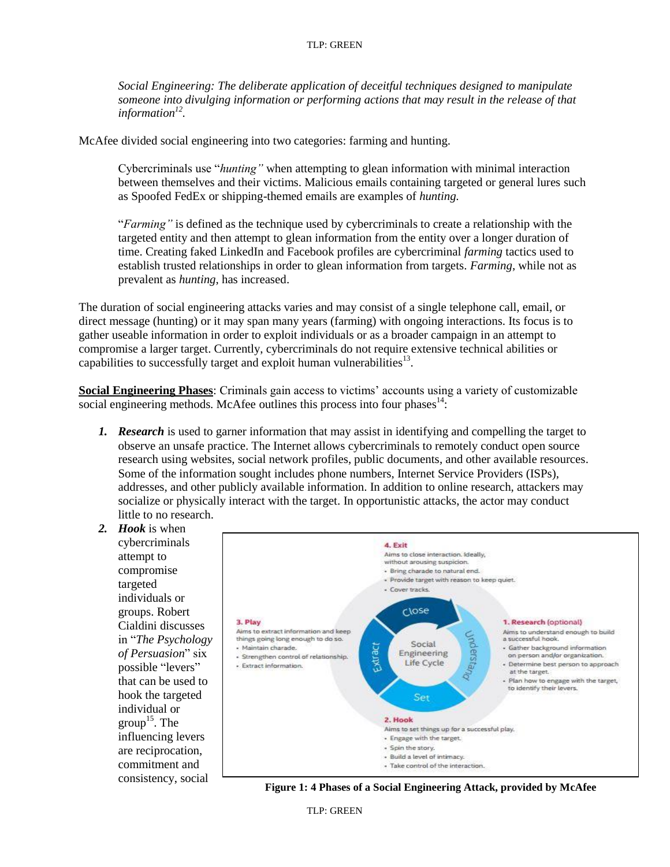*Social Engineering: The deliberate application of deceitful techniques designed to manipulate someone into divulging information or performing actions that may result in the release of that information<sup>12</sup> .*

McAfee divided social engineering into two categories: farming and hunting.

Cybercriminals use "*hunting"* when attempting to glean information with minimal interaction between themselves and their victims. Malicious emails containing targeted or general lures such as Spoofed FedEx or shipping-themed emails are examples of *hunting.*

"*Farming"* is defined as the technique used by cybercriminals to create a relationship with the targeted entity and then attempt to glean information from the entity over a longer duration of time. Creating faked LinkedIn and Facebook profiles are cybercriminal *farming* tactics used to establish trusted relationships in order to glean information from targets. *Farming*, while not as prevalent as *hunting*, has increased.

The duration of social engineering attacks varies and may consist of a single telephone call, email, or direct message (hunting) or it may span many years (farming) with ongoing interactions. Its focus is to gather useable information in order to exploit individuals or as a broader campaign in an attempt to compromise a larger target. Currently, cybercriminals do not require extensive technical abilities or capabilities to successfully target and exploit human vulnerabilities $^{13}$ .

**Social Engineering Phases**: Criminals gain access to victims' accounts using a variety of customizable social engineering methods. McAfee outlines this process into four phases $14$ :

*1. Research* is used to garner information that may assist in identifying and compelling the target to observe an unsafe practice. The Internet allows cybercriminals to remotely conduct open source research using websites, social network profiles, public documents, and other available resources. Some of the information sought includes phone numbers, Internet Service Providers (ISPs), addresses, and other publicly available information. In addition to online research, attackers may socialize or physically interact with the target. In opportunistic attacks, the actor may conduct little to no research.





**Figure 1: 4 Phases of a Social Engineering Attack, provided by McAfee**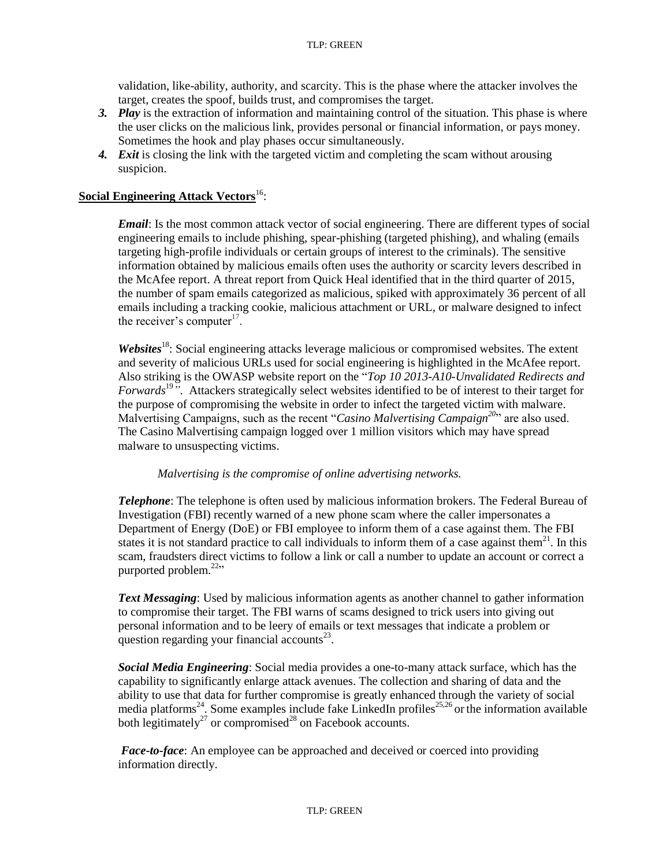validation, like-ability, authority, and scarcity. This is the phase where the attacker involves the target, creates the spoof, builds trust, and compromises the target.

- *3. Play* is the extraction of information and maintaining control of the situation. This phase is where the user clicks on the malicious link, provides personal or financial information, or pays money. Sometimes the hook and play phases occur simultaneously.
- 4. *Exit* is closing the link with the targeted victim and completing the scam without arousing suspicion.

## **Social Engineering Attack Vectors**<sup>16</sup>:

*Email*: Is the most common attack vector of social engineering. There are different types of social engineering emails to include phishing, spear-phishing (targeted phishing), and whaling (emails targeting high-profile individuals or certain groups of interest to the criminals). The sensitive information obtained by malicious emails often uses the authority or scarcity levers described in the McAfee report. A threat report from Quick Heal identified that in the third quarter of 2015, the number of spam emails categorized as malicious, spiked with approximately 36 percent of all emails including a tracking cookie, malicious attachment or URL, or malware designed to infect the receiver's computer $17$ .

*Websites*<sup>18</sup>: Social engineering attacks leverage malicious or compromised websites. The extent and severity of malicious URLs used for social engineering is highlighted in the McAfee report. Also striking is the OWASP website report on the "*Top 10 2013-A10-Unvalidated Redirects and Forwards*<sup>197</sup>. Attackers strategically select websites identified to be of interest to their target for the purpose of compromising the website in order to infect the targeted victim with malware. Malvertising Campaigns, such as the recent "*Casino Malvertising Campaign<sup>20</sup>*" are also used. The Casino Malvertising campaign logged over 1 million visitors which may have spread malware to unsuspecting victims.

#### *Malvertising is the compromise of online advertising networks.*

*Telephone*: The telephone is often used by malicious information brokers. The Federal Bureau of Investigation (FBI) recently warned of a new phone scam where the caller impersonates a Department of Energy (DoE) or FBI employee to inform them of a case against them. The FBI states it is not standard practice to call individuals to inform them of a case against them<sup>21</sup>. In this scam, fraudsters direct victims to follow a link or call a number to update an account or correct a purported problem. $22$ <sup>22</sup>

*Text Messaging*: Used by malicious information agents as another channel to gather information to compromise their target. The FBI warns of scams designed to trick users into giving out personal information and to be leery of emails or text messages that indicate a problem or question regarding your financial accounts $^{23}$ .

*Social Media Engineering*: Social media provides a one-to-many attack surface, which has the capability to significantly enlarge attack avenues. The collection and sharing of data and the ability to use that data for further compromise is greatly enhanced through the variety of social media platforms<sup>24</sup>. Some examples include fake LinkedIn profiles<sup>25,26</sup> or the information available both legitimately<sup>27</sup> or compromised<sup>28</sup> on Facebook accounts.

*Face-to-face*: An employee can be approached and deceived or coerced into providing information directly.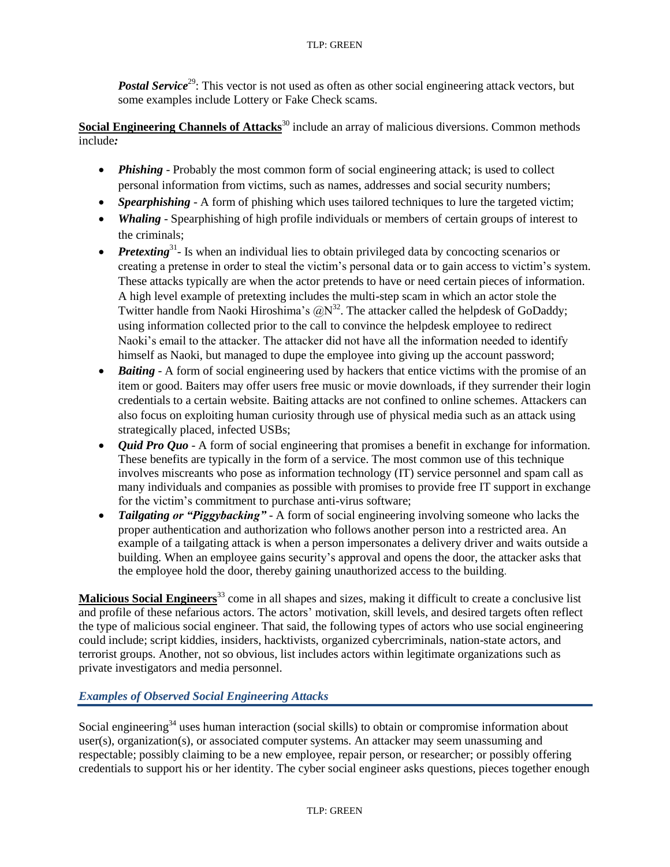*Postal Service*<sup>29</sup>: This vector is not used as often as other social engineering attack vectors, but some examples include Lottery or Fake Check scams.

**Social Engineering Channels of Attacks<sup>30</sup>** include an array of malicious diversions. Common methods include*:*

- *Phishing* Probably the most common form of social engineering attack; is used to collect personal information from victims, such as names, addresses and social security numbers;
- *Spearphishing* A form of phishing which uses tailored techniques to lure the targeted victim;
- *Whaling*  Spearphishing of high profile individuals or members of certain groups of interest to the criminals;
- *Pretexting*<sup>31</sup>- Is when an individual lies to obtain privileged data by concocting scenarios or creating a pretense in order to steal the victim's personal data or to gain access to victim's system. These attacks typically are when the actor pretends to have or need certain pieces of information. A high level example of pretexting includes the multi-step scam in which an actor stole the Twitter handle from Naoki Hiroshima's  $\left(\partial N^{32}\right)$ . The attacker called the helpdesk of GoDaddy; using information collected prior to the call to convince the helpdesk employee to redirect Naoki's email to the attacker. The attacker did not have all the information needed to identify himself as Naoki, but managed to dupe the employee into giving up the account password;
- *Baiting* A form of social engineering used by hackers that entice victims with the promise of an item or good. Baiters may offer users free music or movie downloads, if they surrender their login credentials to a certain website. Baiting attacks are not confined to online schemes. Attackers can also focus on exploiting human curiosity through use of physical media such as an attack using strategically placed, infected USBs;
- *Quid Pro Quo* A form of social engineering that promises a benefit in exchange for information. These benefits are typically in the form of a service. The most common use of this technique involves miscreants who pose as information technology (IT) service personnel and spam call as many individuals and companies as possible with promises to provide free IT support in exchange for the victim's commitment to purchase anti-virus software;
- *Tailgating or "Piggybacking"* A form of social engineering involving someone who lacks the proper authentication and authorization who follows another person into a restricted area. An example of a tailgating attack is when a person impersonates a delivery driver and waits outside a building. When an employee gains security's approval and opens the door, the attacker asks that the employee hold the door, thereby gaining unauthorized access to the building.

**Malicious Social Engineers**<sup>33</sup> come in all shapes and sizes, making it difficult to create a conclusive list and profile of these nefarious actors. The actors' motivation, skill levels, and desired targets often reflect the type of malicious social engineer. That said, the following types of actors who use social engineering could include; script kiddies, insiders, hacktivists, organized cybercriminals, nation-state actors, and terrorist groups. Another, not so obvious, list includes actors within legitimate organizations such as private investigators and media personnel.

## *Examples of Observed Social Engineering Attacks*

Social engineering<sup>34</sup> uses human interaction (social skills) to obtain or compromise information about user(s), organization(s), or associated computer systems. An attacker may seem unassuming and respectable; possibly claiming to be a new employee, repair person, or researcher; or possibly offering credentials to support his or her identity. The cyber social engineer asks questions, pieces together enough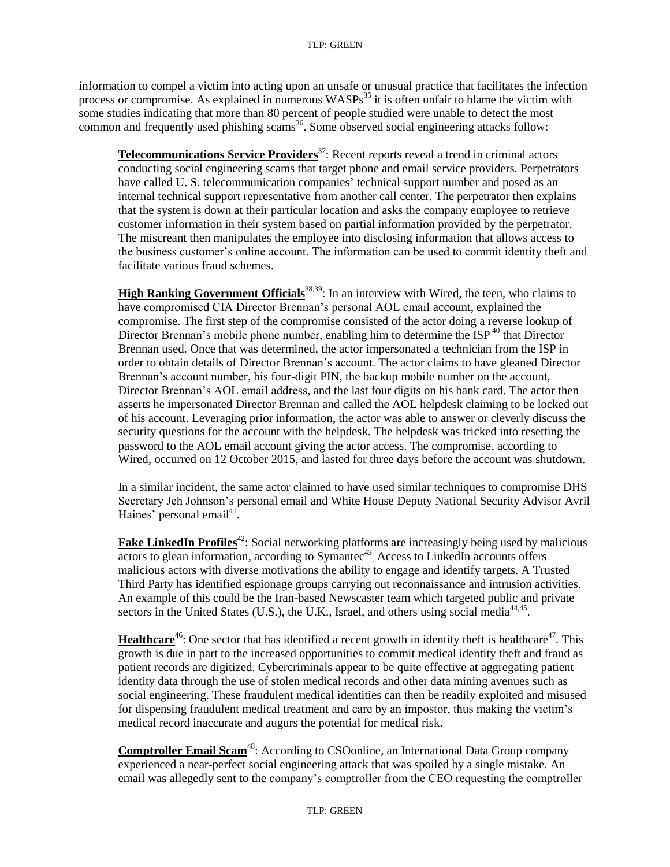information to compel a victim into acting upon an unsafe or unusual practice that facilitates the infection process or compromise. As explained in numerous  $WASPs<sup>35</sup>$  it is often unfair to blame the victim with some studies indicating that more than 80 percent of people studied were unable to detect the most common and frequently used phishing scams<sup>36</sup>. Some observed social engineering attacks follow:

**Telecommunications Service Providers**<sup>37</sup>: Recent reports reveal a trend in criminal actors conducting social engineering scams that target phone and email service providers. Perpetrators have called U. S. telecommunication companies' technical support number and posed as an internal technical support representative from another call center. The perpetrator then explains that the system is down at their particular location and asks the company employee to retrieve customer information in their system based on partial information provided by the perpetrator. The miscreant then manipulates the employee into disclosing information that allows access to the business customer's online account. The information can be used to commit identity theft and facilitate various fraud schemes.

**High Ranking Government Officials**<sup>38,39</sup>: In an interview with Wired, the teen, who claims to have compromised CIA Director Brennan's personal AOL email account, explained the compromise. The first step of the compromise consisted of the actor doing a reverse lookup of Director Brennan's mobile phone number, enabling him to determine the  $ISP^{40}$  that Director Brennan used. Once that was determined, the actor impersonated a technician from the ISP in order to obtain details of Director Brennan's account. The actor claims to have gleaned Director Brennan's account number, his four-digit PIN, the backup mobile number on the account, Director Brennan's AOL email address, and the last four digits on his bank card. The actor then asserts he impersonated Director Brennan and called the AOL helpdesk claiming to be locked out of his account. Leveraging prior information, the actor was able to answer or cleverly discuss the security questions for the account with the helpdesk. The helpdesk was tricked into resetting the password to the AOL email account giving the actor access. The compromise, according to Wired, occurred on 12 October 2015, and lasted for three days before the account was shutdown.

In a similar incident, the same actor claimed to have used similar techniques to compromise DHS Secretary Jeh Johnson's personal email and White House Deputy National Security Advisor Avril Haines' personal email<sup>41</sup>.

**Fake LinkedIn Profiles**<sup>42</sup>: Social networking platforms are increasingly being used by malicious actors to glean information, according to Symantec<sup>43</sup> Access to LinkedIn accounts offers malicious actors with diverse motivations the ability to engage and identify targets. A Trusted Third Party has identified espionage groups carrying out reconnaissance and intrusion activities. An example of this could be the Iran-based Newscaster team which targeted public and private sectors in the United States (U.S.), the U.K., Israel, and others using social media<sup>44,45</sup>.

**Healthcare**<sup>46</sup>: One sector that has identified a recent growth in identity theft is healthcare<sup>47</sup>. This growth is due in part to the increased opportunities to commit medical identity theft and fraud as patient records are digitized. Cybercriminals appear to be quite effective at aggregating patient identity data through the use of stolen medical records and other data mining avenues such as social engineering. These fraudulent medical identities can then be readily exploited and misused for dispensing fraudulent medical treatment and care by an impostor, thus making the victim's medical record inaccurate and augurs the potential for medical risk.

**Comptroller Email Scam<sup>48</sup>:** According to CSOonline, an International Data Group company experienced a near-perfect social engineering attack that was spoiled by a single mistake. An email was allegedly sent to the company's comptroller from the CEO requesting the comptroller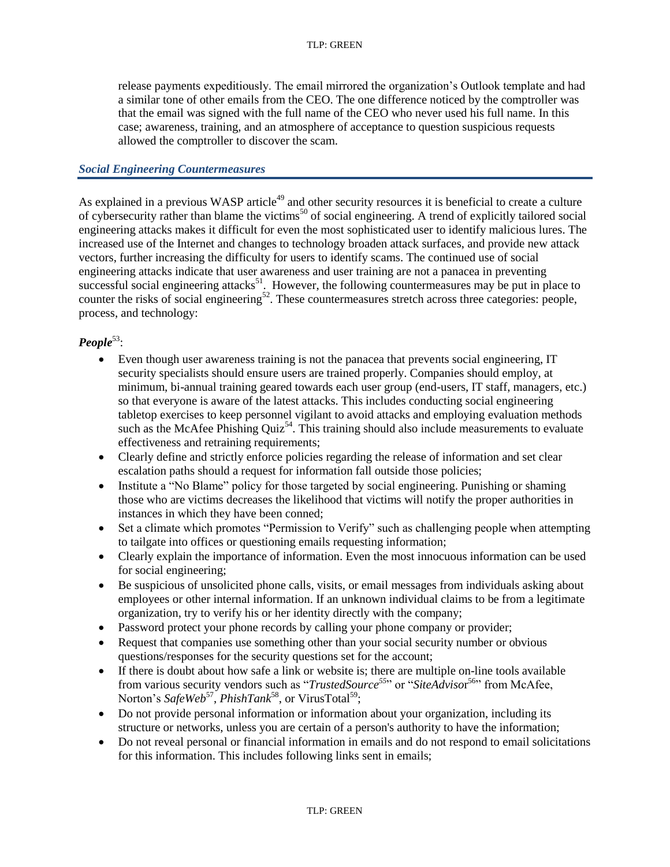release payments expeditiously. The email mirrored the organization's Outlook template and had a similar tone of other emails from the CEO. The one difference noticed by the comptroller was that the email was signed with the full name of the CEO who never used his full name. In this case; awareness, training, and an atmosphere of acceptance to question suspicious requests allowed the comptroller to discover the scam.

### *Social Engineering Countermeasures*

As explained in a previous WASP article<sup>49</sup> and other security resources it is beneficial to create a culture of cybersecurity rather than blame the victims<sup>50</sup> of social engineering. A trend of explicitly tailored social engineering attacks makes it difficult for even the most sophisticated user to identify malicious lures. The increased use of the Internet and changes to technology broaden attack surfaces, and provide new attack vectors, further increasing the difficulty for users to identify scams. The continued use of social engineering attacks indicate that user awareness and user training are not a panacea in preventing successful social engineering attacks<sup>51</sup>. However, the following countermeasures may be put in place to counter the risks of social engineering<sup>52</sup>. These countermeasures stretch across three categories: people, process, and technology:

### People<sup>53</sup>:

- Even though user awareness training is not the panacea that prevents social engineering, IT security specialists should ensure users are trained properly. Companies should employ, at minimum, bi-annual training geared towards each user group (end-users, IT staff, managers, etc.) so that everyone is aware of the latest attacks. This includes conducting social engineering tabletop exercises to keep personnel vigilant to avoid attacks and employing evaluation methods such as the McAfee Phishing Quiz<sup>54</sup>. This training should also include measurements to evaluate effectiveness and retraining requirements;
- Clearly define and strictly enforce policies regarding the release of information and set clear escalation paths should a request for information fall outside those policies;
- Institute a "No Blame" policy for those targeted by social engineering. Punishing or shaming those who are victims decreases the likelihood that victims will notify the proper authorities in instances in which they have been conned;
- Set a climate which promotes "Permission to Verify" such as challenging people when attempting to tailgate into offices or questioning emails requesting information;
- Clearly explain the importance of information. Even the most innocuous information can be used for social engineering;
- Be suspicious of unsolicited phone calls, visits, or email messages from individuals asking about employees or other internal information. If an unknown individual claims to be from a legitimate organization, try to verify his or her identity directly with the company;
- Password protect your phone records by calling your phone company or provider;
- Request that companies use something other than your social security number or obvious questions/responses for the security questions set for the account;
- If there is doubt about how safe a link or website is; there are multiple on-line tools available from various security vendors such as "*TrustedSource<sup>55</sup>*" or "*SiteAdviso*r <sup>56</sup>" from McAfee, Norton's *SafeWeb<sup>57</sup>*, *PhishTank*<sup>58</sup>, or VirusTotal<sup>59</sup>;
- Do not provide personal information or information about your organization, including its structure or networks, unless you are certain of a person's authority to have the information;
- Do not reveal personal or financial information in emails and do not respond to email solicitations for this information. This includes following links sent in emails;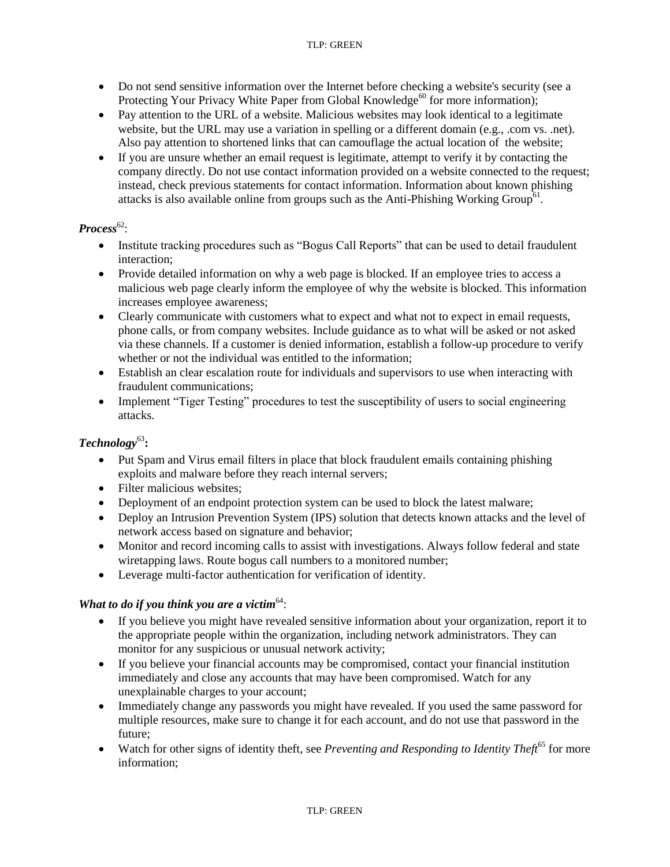#### TLP: GREEN

- Do not send sensitive information over the Internet before checking a website's security (see a Protecting Your Privacy White Paper from Global Knowledge<sup>60</sup> for more information);
- Pay attention to the URL of a website. Malicious websites may look identical to a legitimate website, but the URL may use a variation in spelling or a different domain (e.g., .com vs. .net). Also pay attention to shortened links that can camouflage the actual location of the website;
- If you are unsure whether an email request is legitimate, attempt to verify it by contacting the company directly. Do not use contact information provided on a website connected to the request; instead, check previous statements for contact information. Information about known phishing attacks is also available online from groups such as the Anti-Phishing Working Group<sup>61</sup>.

## Process<sup>62</sup>:

- Institute tracking procedures such as "Bogus Call Reports" that can be used to detail fraudulent interaction;
- Provide detailed information on why a web page is blocked. If an employee tries to access a malicious web page clearly inform the employee of why the website is blocked. This information increases employee awareness;
- Clearly communicate with customers what to expect and what not to expect in email requests, phone calls, or from company websites. Include guidance as to what will be asked or not asked via these channels. If a customer is denied information, establish a follow-up procedure to verify whether or not the individual was entitled to the information;
- Establish an clear escalation route for individuals and supervisors to use when interacting with fraudulent communications;
- Implement "Tiger Testing" procedures to test the susceptibility of users to social engineering attacks.

# *Technology*<sup>63</sup>**:**

- Put Spam and Virus email filters in place that block fraudulent emails containing phishing exploits and malware before they reach internal servers;
- Filter malicious websites;
- Deployment of an endpoint protection system can be used to block the latest malware;
- Deploy an Intrusion Prevention System (IPS) solution that detects known attacks and the level of network access based on signature and behavior;
- Monitor and record incoming calls to assist with investigations. Always follow federal and state wiretapping laws. Route bogus call numbers to a monitored number;
- Leverage multi-factor authentication for verification of identity.

## *What to do if you think you are a victim*<sup>64</sup>:

- If you believe you might have revealed sensitive information about your organization, report it to the appropriate people within the organization, including network administrators. They can monitor for any suspicious or unusual network activity;
- If you believe your financial accounts may be compromised, contact your financial institution immediately and close any accounts that may have been compromised. Watch for any unexplainable charges to your account;
- Immediately change any passwords you might have revealed. If you used the same password for multiple resources, make sure to change it for each account, and do not use that password in the future;
- Watch for other signs of identity theft, see *Preventing and Responding to Identity Theft*<sup>65</sup> for more information;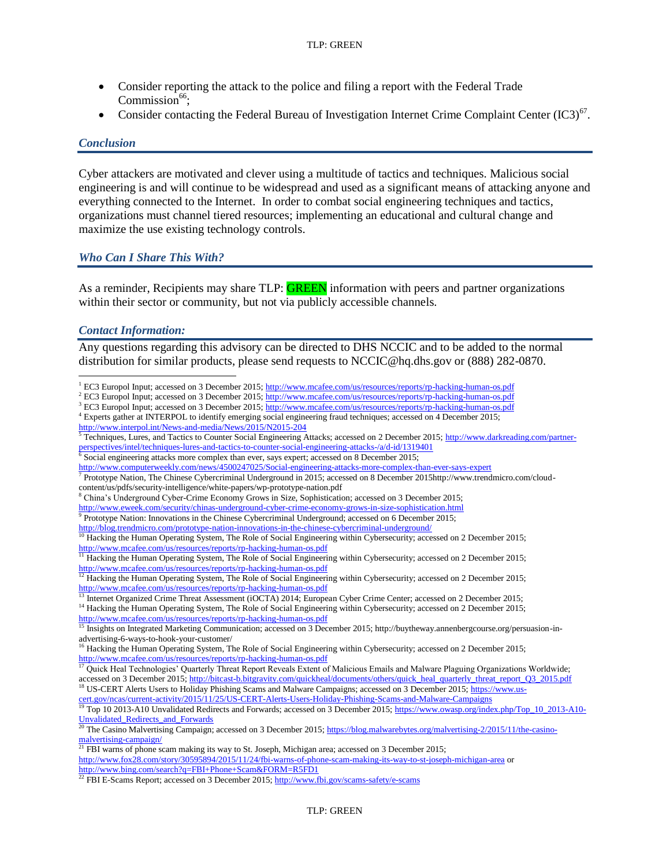- Consider reporting the attack to the police and filing a report with the Federal Trade Commission $66$ ;
- Consider contacting the Federal Bureau of Investigation Internet Crime Complaint Center  $(IC3)^{67}$ .

#### *Conclusion*

Cyber attackers are motivated and clever using a multitude of tactics and techniques. Malicious social engineering is and will continue to be widespread and used as a significant means of attacking anyone and everything connected to the Internet. In order to combat social engineering techniques and tactics, organizations must channel tiered resources; implementing an educational and cultural change and maximize the use existing technology controls.

#### *Who Can I Share This With?*

As a reminder, Recipients may share TLP: **GREEN** information with peers and partner organizations within their sector or community, but not via publicly accessible channels.

#### *Contact Information:*

Any questions regarding this advisory can be directed to DHS NCCIC and to be added to the normal distribution for similar products, please send requests to NCCIC@hq.dhs.gov or (888) 282-0870.

- <http://blog.trendmicro.com/prototype-nation-innovations-in-the-chinese-cybercriminal-underground/>
- <sup>10</sup> Hacking the Human Operating System, The Role of Social Engineering within Cybersecurity; accessed on 2 December 2015; <http://www.mcafee.com/us/resources/reports/rp-hacking-human-os.pdf>

<sup>11</sup> Hacking the Human Operating System, The Role of Social Engineering within Cybersecurity; accessed on 2 December 2015; <http://www.mcafee.com/us/resources/reports/rp-hacking-human-os.pdf>

<sup>13</sup> Internet Organized Crime Threat Assessment (iOCTA) 2014; European Cyber Crime Center; accessed on 2 December 2015; <sup>14</sup> Hacking the Human Operating System, The Role of Social Engineering within Cybersecurity; accessed on 2 December 2015;

<http://www.mcafee.com/us/resources/reports/rp-hacking-human-os.pdf> <sup>15</sup> Insights on Integrated Marketing Communication; accessed on 3 December 2015; http://buytheway.annenbergcourse.org/persuasion-in-

advertising-6-ways-to-hook-your-customer/

<sup>16</sup> Hacking the Human Operating System, The Role of Social Engineering within Cybersecurity; accessed on 2 December 2015; <http://www.mcafee.com/us/resources/reports/rp-hacking-human-os.pdf>

 $\overline{a}$ <sup>1</sup> EC3 Europol Input; accessed on 3 December 2015[; http://www.mcafee.com/us/resources/reports/rp-hacking-human-os.pdf](http://www.mcafee.com/us/resources/reports/rp-hacking-human-os.pdf)

<sup>&</sup>lt;sup>2</sup> EC3 Europol Input; accessed on 3 December 2015[; http://www.mcafee.com/us/resources/reports/rp-hacking-human-os.pdf](http://www.mcafee.com/us/resources/reports/rp-hacking-human-os.pdf)

<sup>&</sup>lt;sup>3</sup> EC3 Europol Input; accessed on 3 December 2015[; http://www.mcafee.com/us/resources/reports/rp-hacking-human-os.pdf](http://www.mcafee.com/us/resources/reports/rp-hacking-human-os.pdf)

<sup>4</sup> Experts gather at INTERPOL to identify emerging social engineering fraud techniques; accessed on 4 December 2015; <http://www.interpol.int/News-and-media/News/2015/N2015-204>

<sup>&</sup>lt;sup>5</sup> Techniques, Lures, and Tactics to Counter Social Engineering Attacks; accessed on 2 December 2015; [http://www.darkreading.com/partner](http://www.darkreading.com/partner-perspectives/intel/techniques-lures-and-tactics-to-counter-social-engineering-attacks-/a/d-id/1319401)[perspectives/intel/techniques-lures-and-tactics-to-counter-social-engineering-attacks-/a/d-id/1319401](http://www.darkreading.com/partner-perspectives/intel/techniques-lures-and-tactics-to-counter-social-engineering-attacks-/a/d-id/1319401)

 $\frac{6}{6}$  Social engineering attacks more complex than ever, says expert; accessed on 8 December 2015;

<http://www.computerweekly.com/news/4500247025/Social-engineering-attacks-more-complex-than-ever-says-expert>

<sup>7</sup> Prototype Nation, The Chinese Cybercriminal Underground in 2015; accessed on 8 December 2015http://www.trendmicro.com/cloudcontent/us/pdfs/security-intelligence/white-papers/wp-prototype-nation.pdf

<sup>8</sup> China's Underground Cyber-Crime Economy Grows in Size, Sophistication; accessed on 3 December 2015;

<http://www.eweek.com/security/chinas-underground-cyber-crime-economy-grows-in-size-sophistication.html><br><sup>9</sup> Prototype Nation: Innovations in the Chinese Cybercriminal Underground; accessed on 6 December 2015;

 $12$  Hacking the Human Operating System, The Role of Social Engineering within Cybersecurity; accessed on 2 December 2015; <http://www.mcafee.com/us/resources/reports/rp-hacking-human-os.pdf>

<sup>&</sup>lt;sup>17</sup> Quick Heal Technologies' Quarterly Threat Report Reveals Extent of Malicious Emails and Malware Plaguing Organizations Worldwide; accessed on 3 December 2015[; http://bitcast-b.bitgravity.com/quickheal/documents/others/quick\\_heal\\_quarterly\\_threat\\_report\\_Q3\\_2015.pdf](http://bitcast-b.bitgravity.com/quickheal/documents/others/quick_heal_quarterly_threat_report_Q3_2015.pdf) <sup>18</sup> US-CERT Alerts Users to Holiday Phishing Scams and Malware Campaigns; accessed on 3 December 2015[; https://www.us](https://www.us-cert.gov/ncas/current-activity/2015/11/25/US-CERT-Alerts-Users-Holiday-Phishing-Scams-and-Malware-Campaigns)[cert.gov/ncas/current-activity/2015/11/25/US-CERT-Alerts-Users-Holiday-Phishing-Scams-and-Malware-Campaigns](https://www.us-cert.gov/ncas/current-activity/2015/11/25/US-CERT-Alerts-Users-Holiday-Phishing-Scams-and-Malware-Campaigns)

<sup>&</sup>lt;sup>19</sup> Top 10 2013-A10 Unvalidated Redirects and Forwards; accessed on 3 December 2015[; https://www.owasp.org/index.php/Top\\_10\\_2013-A10-](https://www.owasp.org/index.php/Top_10_2013-A10-Unvalidated_Redirects_and_Forwards) [Unvalidated\\_Redirects\\_and\\_Forwards](https://www.owasp.org/index.php/Top_10_2013-A10-Unvalidated_Redirects_and_Forwards)

The Casino Malvertising Campaign; accessed on 3 December 2015[; https://blog.malwarebytes.org/malvertising-2/2015/11/the-casino](https://blog.malwarebytes.org/malvertising-2/2015/11/the-casino-malvertising-campaign/)[malvertising-campaign/](https://blog.malwarebytes.org/malvertising-2/2015/11/the-casino-malvertising-campaign/)

<sup>&</sup>lt;sup>21</sup> FBI warns of phone scam making its way to St. Joseph, Michigan area; accessed on 3 December 2015; <http://www.fox28.com/story/30595894/2015/11/24/fbi-warns-of-phone-scam-making-its-way-to-st-joseph-michigan-area> or <http://www.bing.com/search?q=FBI+Phone+Scam&FORM=R5FD1>

<sup>&</sup>lt;sup>22</sup> FBI E-Scams Report; accessed on 3 December 2015[; http://www.fbi.gov/scams-safety/e-scams](http://www.fbi.gov/scams-safety/e-scams)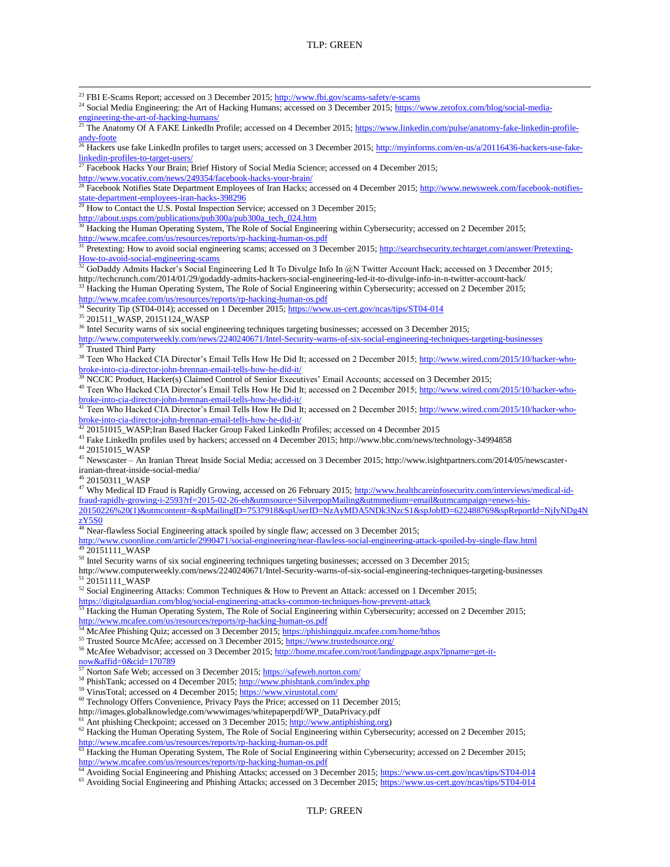l <sup>23</sup> FBI E-Scams Report; accessed on 3 December 2015;<http://www.fbi.gov/scams-safety/e-scams> <sup>24</sup> Social Media Engineering: the Art of Hacking Humans; accessed on 3 December 2015; [https://www.zerofox.com/blog/social-media](https://www.zerofox.com/blog/social-media-engineering-the-art-of-hacking-humans/)[engineering-the-art-of-hacking-humans/](https://www.zerofox.com/blog/social-media-engineering-the-art-of-hacking-humans/) <sup>25</sup> The Anatomy Of A FAKE LinkedIn Profile; accessed on 4 December 2015[; https://www.linkedin.com/pulse/anatomy-fake-linkedin-profile](https://www.linkedin.com/pulse/anatomy-fake-linkedin-profile-andy-foote)[andy-foote](https://www.linkedin.com/pulse/anatomy-fake-linkedin-profile-andy-foote) <sup>26</sup> Hackers use fake LinkedIn profiles to target users; accessed on 3 December 2015; [http://myinforms.com/en-us/a/20116436-hackers-use-fake](http://myinforms.com/en-us/a/20116436-hackers-use-fake-linkedin-profiles-to-target-users/)[linkedin-profiles-to-target-users/](http://myinforms.com/en-us/a/20116436-hackers-use-fake-linkedin-profiles-to-target-users/)  $^{27}$  Facebook Hacks Your Brain; Brief History of Social Media Science; accessed on 4 December 2015; <http://www.vocativ.com/news/249354/facebook-hacks-your-brain/> <sup>28</sup> Facebook Notifies State Department Employees of Iran Hacks; accessed on 4 December 2015; [http://www.newsweek.com/facebook-notifies](http://www.newsweek.com/facebook-notifies-state-department-employees-iran-hacks-398296)[state-department-employees-iran-hacks-398296](http://www.newsweek.com/facebook-notifies-state-department-employees-iran-hacks-398296)  $^{29}$  How to Contact the U.S. Postal Inspection Service; accessed on 3 December 2015; [http://about.usps.com/publications/pub300a/pub300a\\_tech\\_024.htm](http://about.usps.com/publications/pub300a/pub300a_tech_024.htm) <sup>30</sup> Hacking the Human Operating System, The Role of Social Engineering within Cybersecurity; accessed on 2 December 2015; <http://www.mcafee.com/us/resources/reports/rp-hacking-human-os.pdf> <sup>31</sup> Pretexting: How to avoid social engineering scams; accessed on 3 December 2015; [http://searchsecurity.techtarget.com/answer/Pretexting-](http://searchsecurity.techtarget.com/answer/Pretexting-How-to-avoid-social-engineering-scams)[How-to-avoid-social-engineering-scams](http://searchsecurity.techtarget.com/answer/Pretexting-How-to-avoid-social-engineering-scams)  $32$  GoDaddy Admits Hacker's Social Engineering Led It To Divulge Info In @N Twitter Account Hack; accessed on 3 December 2015; http://techcrunch.com/2014/01/29/godaddy-admits-hackers-social-engineering-led-it-to-divulge-info-in-n-twitter-account-hack/ <sup>33</sup> Hacking the Human Operating System, The Role of Social Engineering within Cybersecurity; accessed on 2 December 2015; <http://www.mcafee.com/us/resources/reports/rp-hacking-human-os.pdf> Security Tip (ST04-014); accessed on 1 December 2015[; https://www.us-cert.gov/ncas/tips/ST04-014](https://www.us-cert.gov/ncas/tips/ST04-014) <sup>35</sup> 201511\_WASP, 20151124\_WASP <sup>36</sup> Intel Security warns of six social engineering techniques targeting businesses; accessed on 3 December 2015; <http://www.computerweekly.com/news/2240240671/Intel-Security-warns-of-six-social-engineering-techniques-targeting-businesses><br>
37 Trusted This Derive <sup>37</sup> Trusted Third Party <sup>38</sup> Teen Who Hacked CIA Director's Email Tells How He Did It; accessed on 2 December 2015[; http://www.wired.com/2015/10/hacker-who](http://www.wired.com/2015/10/hacker-who-broke-into-cia-director-john-brennan-email-tells-how-he-did-it/)[broke-into-cia-director-john-brennan-email-tells-how-he-did-it/](http://www.wired.com/2015/10/hacker-who-broke-into-cia-director-john-brennan-email-tells-how-he-did-it/) <sup>39</sup> NCCIC Product, Hacker(s) Claimed Control of Senior Executives' Email Accounts; accessed on 3 December 2015; <sup>40</sup> Teen Who Hacked CIA Director's Email Tells How He Did It; accessed on 2 December 2015[; http://www.wired.com/2015/10/hacker-who](http://www.wired.com/2015/10/hacker-who-broke-into-cia-director-john-brennan-email-tells-how-he-did-it/)[broke-into-cia-director-john-brennan-email-tells-how-he-did-it/](http://www.wired.com/2015/10/hacker-who-broke-into-cia-director-john-brennan-email-tells-how-he-did-it/)<br><sup>41</sup> Teen Who He-ki-1.0 U.S. Teen Who Hacked CIA Director's Email Tells How He Did It; accessed on 2 December 2015[; http://www.wired.com/2015/10/hacker-who](http://www.wired.com/2015/10/hacker-who-broke-into-cia-director-john-brennan-email-tells-how-he-did-it/)[broke-into-cia-director-john-brennan-email-tells-how-he-did-it/](http://www.wired.com/2015/10/hacker-who-broke-into-cia-director-john-brennan-email-tells-how-he-did-it/)<br> $\frac{42}{3}$  anterior-is with care in the state of the state of the state of the state of the state of the state of the state of the state of the state of the s <sup>42</sup> 20151015\_WASP;Iran Based Hacker Group Faked LinkedIn Profiles; accessed on 4 December 2015 <sup>43</sup> Fake LinkedIn profiles used by hackers; accessed on 4 December 2015; http://www.bbc.com/news/technology-34994858 <sup>44</sup> 20151015\_WASP <sup>45</sup> Newscaster – An Iranian Threat Inside Social Media; accessed on 3 December 2015; http://www.isightpartners.com/2014/05/newscasteriranian-threat-inside-social-media/ 20150311\_WASP <sup>47</sup> Why Medical ID Fraud is Rapidly Growing, accessed on 26 February 2015; [http://www.healthcareinfosecurity.com/interviews/medical-id](http://www.healthcareinfosecurity.com/interviews/medical-id-fraud-rapidly-growing-i-2593?rf=2015-02-26-eh&utmsource=SilverpopMailing&utmmedium=email&utmcampaign=enews-his-20150226%20(1)&utmcontent=&spMailingID=7537918&spUserID=NzAyMDA5NDk3NzcS1&spJobID=622488769&spReportId=NjIyNDg4NzY5S0)[fraud-rapidly-growing-i-2593?rf=2015-02-26-eh&utmsource=SilverpopMailing&utmmedium=email&utmcampaign=enews-his-](http://www.healthcareinfosecurity.com/interviews/medical-id-fraud-rapidly-growing-i-2593?rf=2015-02-26-eh&utmsource=SilverpopMailing&utmmedium=email&utmcampaign=enews-his-20150226%20(1)&utmcontent=&spMailingID=7537918&spUserID=NzAyMDA5NDk3NzcS1&spJobID=622488769&spReportId=NjIyNDg4NzY5S0)[20150226%20\(1\)&utmcontent=&spMailingID=7537918&spUserID=NzAyMDA5NDk3NzcS1&spJobID=622488769&spReportId=NjIyNDg4N](http://www.healthcareinfosecurity.com/interviews/medical-id-fraud-rapidly-growing-i-2593?rf=2015-02-26-eh&utmsource=SilverpopMailing&utmmedium=email&utmcampaign=enews-his-20150226%20(1)&utmcontent=&spMailingID=7537918&spUserID=NzAyMDA5NDk3NzcS1&spJobID=622488769&spReportId=NjIyNDg4NzY5S0) [zY5S0](http://www.healthcareinfosecurity.com/interviews/medical-id-fraud-rapidly-growing-i-2593?rf=2015-02-26-eh&utmsource=SilverpopMailing&utmmedium=email&utmcampaign=enews-his-20150226%20(1)&utmcontent=&spMailingID=7537918&spUserID=NzAyMDA5NDk3NzcS1&spJobID=622488769&spReportId=NjIyNDg4NzY5S0)  $48$  Near-flawless Social Engineering attack spoiled by single flaw; accessed on 3 December 2015; <http://www.csoonline.com/article/2990471/social-engineering/near-flawless-social-engineering-attack-spoiled-by-single-flaw.html> 20151111\_WASP <sup>50</sup> Intel Security warns of six social engineering techniques targeting businesses; accessed on 3 December 2015; http://www.computerweekly.com/news/2240240671/Intel-Security-warns-of-six-social-engineering-techniques-targeting-businesses <sup>51</sup> 20151111\_WASP <sup>52</sup> Social Engineering Attacks: Common Techniques & How to Prevent an Attack: accessed on 1 December 2015; <https://digitalguardian.com/blog/social-engineering-attacks-common-techniques-how-prevent-attack> <sup>53</sup> Hacking the Human Operating System, The Role of Social Engineering within Cybersecurity; accessed on 2 December 2015; <http://www.mcafee.com/us/resources/reports/rp-hacking-human-os.pdf> <sup>54</sup> McAfee Phishing Quiz; accessed on 3 December 2015[; https://phishingquiz.mcafee.com/home/hthos](https://phishingquiz.mcafee.com/home/hthos) <sup>55</sup> Trusted Source McAfee; accessed on 3 December 2015[; https://www.trustedsource.org/](https://www.trustedsource.org/) 56 McAfee Webadvisor; accessed on 3 December 2015[; http://home.mcafee.com/root/landingpage.aspx?lpname=get-it-](http://home.mcafee.com/root/landingpage.aspx?lpname=get-it-now&affid=0&cid=170789) $\frac{\text{now} \& \text{affid}=0 \& \text{cid}=170789}{57 \text{ N} \cdot \text{m}}$ Norton Safe Web; accessed on 3 December 2015[; https://safeweb.norton.com/](https://safeweb.norton.com/) 58 PhishTank; accessed on 4 December 2015[; http://www.phishtank.com/index.php](http://www.phishtank.com/index.php) <sup>59</sup> VirusTotal; accessed on 4 December 2015;<https://www.virustotal.com/> <sup>60</sup> Technology Offers Convenience, Privacy Pays the Price; accessed on 11 December 2015; http://images.globalknowledge.com/wwwimages/whitepaperpdf/WP\_DataPrivacy.pdf Ant phishing Checkpoint; accessed on 3 December 2015[; http://www.antiphishing.org\)](http://www.antiphishing.org/) <sup>62</sup> Hacking the Human Operating System, The Role of Social Engineering within Cybersecurity; accessed on 2 December 2015; <http://www.mcafee.com/us/resources/reports/rp-hacking-human-os.pdf>

 $\frac{63}{10}$  Hacking the Human Operating System, The Role of Social Engineering within Cybersecurity; accessed on 2 December 2015; <http://www.mcafee.com/us/resources/reports/rp-hacking-human-os.pdf>

<sup>64</sup> Avoiding Social Engineering and Phishing Attacks; accessed on 3 December 2015[; https://www.us-cert.gov/ncas/tips/ST04-014](https://www.us-cert.gov/ncas/tips/ST04-014) <sup>65</sup> Avoiding Social Engineering and Phishing Attacks; accessed on 3 December 2015[; https://www.us-cert.gov/ncas/tips/ST04-014](https://www.us-cert.gov/ncas/tips/ST04-014)

TLP: GREEN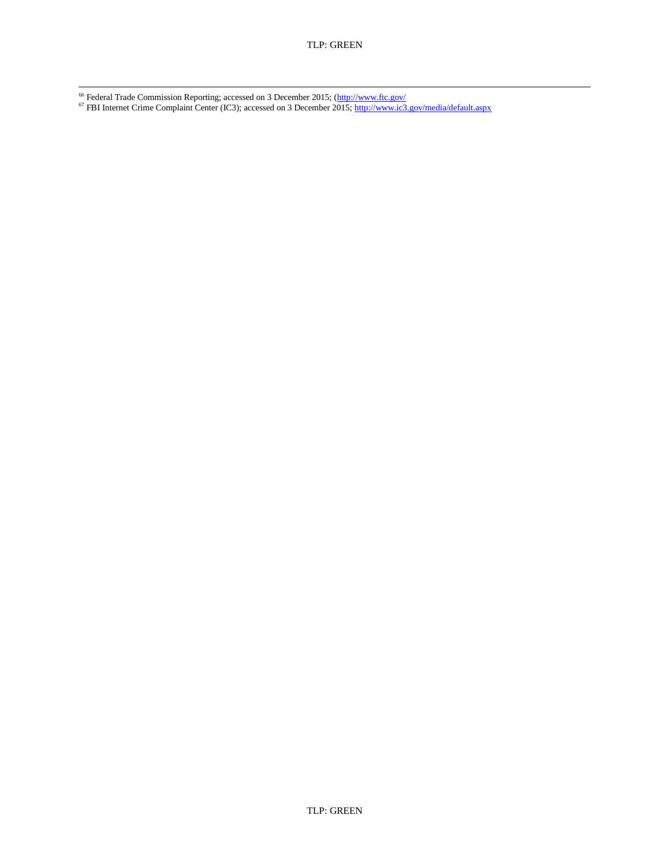l <sup>66</sup> Federal Trade Commission Reporting; accessed on 3 December 2015; [\(http://www.ftc.gov/](http://www.ftc.gov/)

<sup>67</sup> FBI Internet Crime Complaint Center (IC3); accessed on 3 December 2015;<http://www.ic3.gov/media/default.aspx>